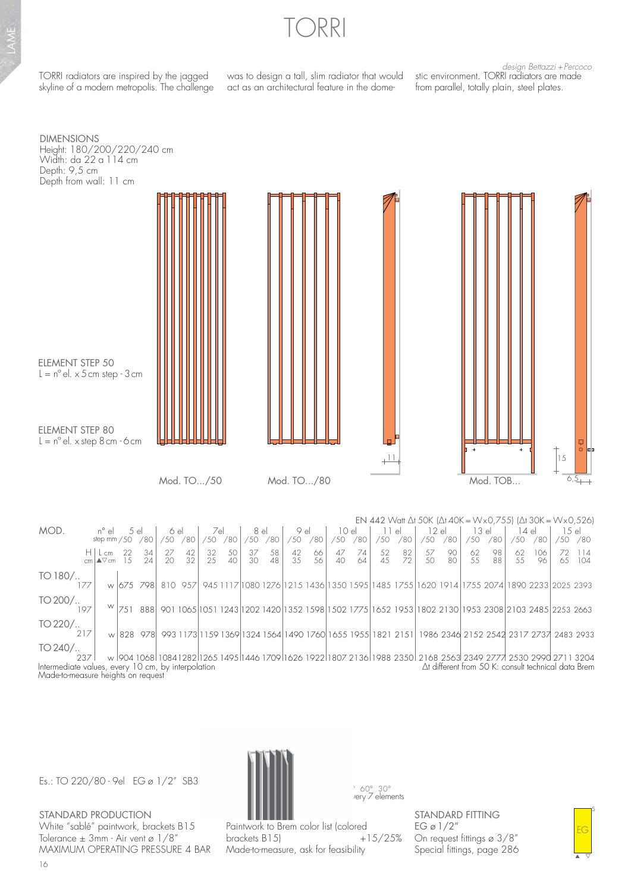

TORRI radiators are inspired by the jagged skyline of a modern metropolis. The challenge

was to design a tall, slim radiator that would act as an architectural feature in the dome-

design Bettazzi + Percoco stic environment. TORRI radiators are made from parallel, totally plain, steel plates.

DIMENSIONS Height: 180/200/220/240 cm Width: da 22 a 114 cm Depth: 9,5 cm Depth from wall: 11 cm



|                                                                                                                                                                                                                                                                           |      |                                       |            |           |                    |                 |                 |               |                    |                 |                    |          |                     |            |                     |                 |                    |                 | EN 442 Watt $\Delta$ t 50K ( $\Delta$ t 40K = Wx0,755) ( $\Delta$ t 30K = Wx0,526)                           |                 |                      |           |                  |                   |
|---------------------------------------------------------------------------------------------------------------------------------------------------------------------------------------------------------------------------------------------------------------------------|------|---------------------------------------|------------|-----------|--------------------|-----------------|-----------------|---------------|--------------------|-----------------|--------------------|----------|---------------------|------------|---------------------|-----------------|--------------------|-----------------|--------------------------------------------------------------------------------------------------------------|-----------------|----------------------|-----------|------------------|-------------------|
| MOD.                                                                                                                                                                                                                                                                      |      | n° el                                 | 5el<br>/80 |           | 6 el<br>/80<br>/50 |                 | 7el<br>/50 /80  |               | 8 el<br>/50 / 80   |                 | 9 el<br>/80<br>/50 |          | 10 el<br>/80<br>/50 |            | 11 el<br>/80<br>/50 |                 | 12el<br>/80<br>/50 |                 | 13el<br>/80<br>/50                                                                                           |                 | 14 el<br>/80<br>750. |           | 1.5el<br>/50 /80 |                   |
|                                                                                                                                                                                                                                                                           |      | step mm $/50$                         |            |           |                    |                 |                 |               |                    |                 |                    |          |                     |            |                     |                 |                    |                 |                                                                                                              |                 |                      |           |                  |                   |
|                                                                                                                                                                                                                                                                           |      | $H $ L cm 22 34<br>$cm/\sqrt{cm}$ 1.5 |            | 24        | $\frac{27}{20}$    | $\frac{42}{32}$ | $\frac{32}{25}$ | $rac{50}{40}$ | 37<br>$30^{\circ}$ | $\frac{58}{48}$ | $\frac{42}{35}$    | 66<br>56 | 47<br>40            | - 74<br>64 | 52<br>4.5           | $\frac{82}{72}$ | $\frac{57}{50}$    | $\frac{90}{80}$ | 62<br>55                                                                                                     | $\frac{98}{88}$ | 62<br>55             | 106<br>96 |                  | 72 114<br>6.5 104 |
| TO 180/                                                                                                                                                                                                                                                                   |      |                                       |            |           |                    |                 |                 |               |                    |                 |                    |          |                     |            |                     |                 |                    |                 |                                                                                                              |                 |                      |           |                  |                   |
|                                                                                                                                                                                                                                                                           | 177  |                                       |            | w 675 798 |                    | 810 957         |                 |               |                    |                 |                    |          |                     |            |                     |                 |                    |                 | 945 1117 1080 1276 1215 1436 1350 1595 1485 1755 1620 1914 1755 2074 1890 2233 2025 2393                     |                 |                      |           |                  |                   |
| $TO 200/$                                                                                                                                                                                                                                                                 |      |                                       |            |           |                    |                 |                 |               |                    |                 |                    |          |                     |            |                     |                 |                    |                 |                                                                                                              |                 |                      |           |                  |                   |
|                                                                                                                                                                                                                                                                           | 197  |                                       |            |           |                    |                 |                 |               |                    |                 |                    |          |                     |            |                     |                 |                    |                 | ™ 751 888 901 1065 1051 1243 1202 1420 1352 1598 1502 1775 1652 1953 1802 2130 1953 2308 2103 2485 2253 2663 |                 |                      |           |                  |                   |
| $TO 220/$                                                                                                                                                                                                                                                                 |      |                                       |            |           |                    |                 |                 |               |                    |                 |                    |          |                     |            |                     |                 |                    |                 |                                                                                                              |                 |                      |           |                  |                   |
|                                                                                                                                                                                                                                                                           |      |                                       |            |           |                    |                 |                 |               |                    |                 |                    |          |                     |            |                     |                 |                    |                 | w 828 978 993 1173 1159 1369 1324 1564 1490 1760 1655 1955 1821 2151 1986 2346 2152 2542 2317 2737 2483 2933 |                 |                      |           |                  |                   |
| $TO 240/$                                                                                                                                                                                                                                                                 |      |                                       |            |           |                    |                 |                 |               |                    |                 |                    |          |                     |            |                     |                 |                    |                 |                                                                                                              |                 |                      |           |                  |                   |
|                                                                                                                                                                                                                                                                           | 237. |                                       |            |           |                    |                 |                 |               |                    |                 |                    |          |                     |            |                     |                 |                    |                 |                                                                                                              |                 |                      |           |                  |                   |
| w 904 1068 1084 1282 1265 1495 1446 1709 1626 1922 1807 2136 1988 2350 2168 2563 2349 2777 2530 2990 2711 3204<br>$\Delta$ t different from 50 K: consult technical data Brem<br>Intermediate values, every 10 cm, by interpolation<br>Made-to-measure heights on request |      |                                       |            |           |                    |                 |                 |               |                    |                 |                    |          |                     |            |                     |                 |                    |                 |                                                                                                              |                 |                      |           |                  |                   |

Es.: TO 220/80 - 9el EG ø 1/2" SB3

STANDARD PRODUCTION White "sablé" paintwork, brackets B15 Tolerance  $\pm$  3mm - Air vent ø 1/8" MAXIMUM OPERATING PRESSURE 4 BAR



Paintwork to Brem color list (colored<br>brackets B15) +15/25% brackets B15) Made-to-measure, ask for feasibility

STANDARD FITTING EG ø  $1/2$ " On request fittings ø 3/8" Special fittings, page 286

s EG

▲